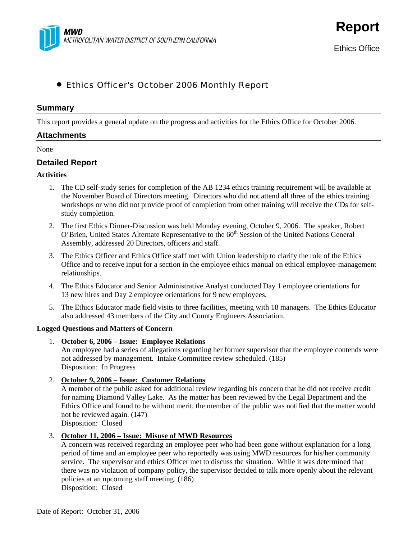

**Report**

# • Ethics Officer's October 2006 Monthly Report

## **Summary**

This report provides a general update on the progress and activities for the Ethics Office for October 2006.

#### **Attachments**

None

## **Detailed Report**

#### **Activities**

- 1. The CD self-study series for completion of the AB 1234 ethics training requirement will be available at the November Board of Directors meeting. Directors who did not attend all three of the ethics training workshops or who did not provide proof of completion from other training will receive the CDs for selfstudy completion.
- 2. The first Ethics Dinner-Discussion was held Monday evening, October 9, 2006. The speaker, Robert O'Brien, United States Alternate Representative to the 60<sup>th</sup> Session of the United Nations General Assembly, addressed 20 Directors, officers and staff.
- 3. The Ethics Officer and Ethics Office staff met with Union leadership to clarify the role of the Ethics Office and to receive input for a section in the employee ethics manual on ethical employee-management relationships.
- 4. The Ethics Educator and Senior Administrative Analyst conducted Day 1 employee orientations for 13 new hires and Day 2 employee orientations for 9 new employees.
- 5. The Ethics Educator made field visits to three facilities, meeting with 18 managers. The Ethics Educator also addressed 43 members of the City and County Engineers Association.

#### **Logged Questions and Matters of Concern**

1. **October 6, 2006 – Issue: Employee Relations**

An employee had a series of allegations regarding her former supervisor that the employee contends were not addressed by management. Intake Committee review scheduled. (185) Disposition: In Progress

2. **October 9, 2006 – Issue: Customer Relations**

A member of the public asked for additional review regarding his concern that he did not receive credit for naming Diamond Valley Lake. As the matter has been reviewed by the Legal Department and the Ethics Office and found to be without merit, the member of the public was notified that the matter would not be reviewed again. (147)

Disposition: Closed

## 3. **October 11, 2006 – Issue: Misuse of MWD Resources**

A concern was received regarding an employee peer who had been gone without explanation for a long period of time and an employee peer who reportedly was using MWD resources for his/her community service. The supervisor and ethics Officer met to discuss the situation. While it was determined that there was no violation of company policy, the supervisor decided to talk more openly about the relevant policies at an upcoming staff meeting. (186) Disposition: Closed